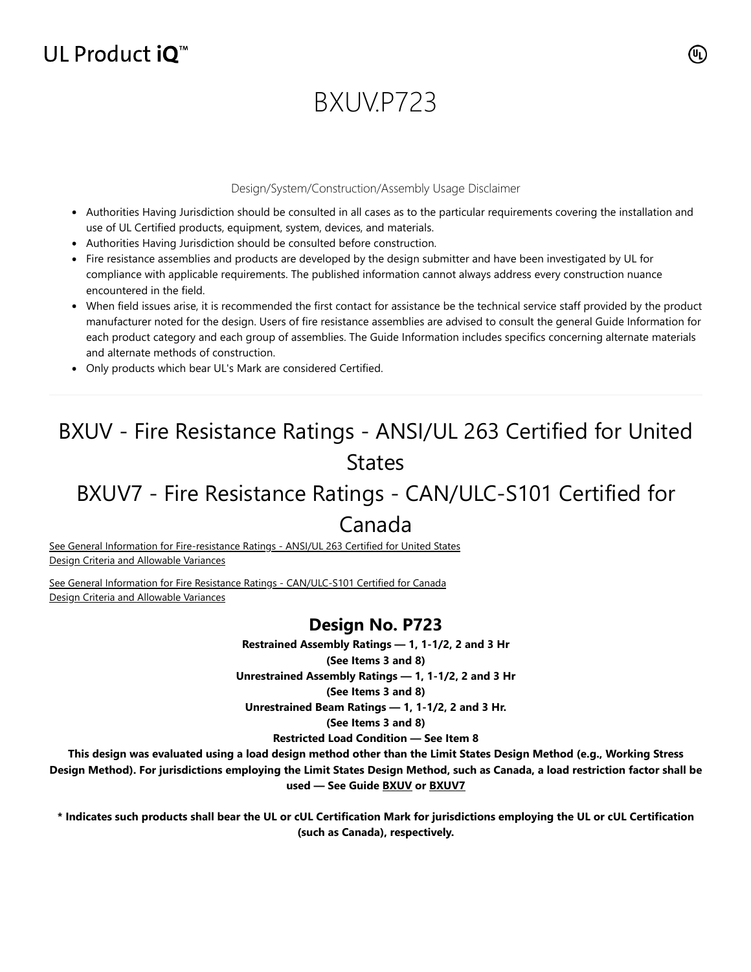## UL Product  $iQ^m$

# BXUVP723

#### Design/System/Construction/Assembly Usage Disclaimer

- Authorities Having Jurisdiction should be consulted in all cases as to the particular requirements covering the installation and use of UL Certified products, equipment, system, devices, and materials.
- Authorities Having Jurisdiction should be consulted before construction.
- Fire resistance assemblies and products are developed by the design submitter and have been investigated by UL for compliance with applicable requirements. The published information cannot always address every construction nuance encountered in the field.
- When field issues arise, it is recommended the first contact for assistance be the technical service staff provided by the product manufacturer noted for the design. Users of fire resistance assemblies are advised to consult the general Guide Information for each product category and each group of assemblies. The Guide Information includes specifics concerning alternate materials and alternate methods of construction.
- Only products which bear UL's Mark are considered Certified.

## BXUV - Fire Resistance Ratings - ANSI/UL 263 Certified for United **States**

## BXUV7 - Fire Resistance Ratings - CAN/ULC-S101 Certified for

## Canada

[See General Information for Fire-resistance Ratings - ANSI/UL 263 Certified for United States](https://iq.ulprospector.com/cgi-bin/XYV/template/LISEXT/1FRAME/showpage.html?name=BXUV.GuideInfo&ccnshorttitle=Fire-resistance+Ratings+-+ANSI/UL+263&objid=1074327030&cfgid=1073741824&version=versionless&parent_id=1073984818&sequence=1) Design Criteria and Allowable Variances

[See General Information for Fire Resistance Ratings - CAN/ULC-S101 Certified for Canada](https://iq.ulprospector.com/cgi-bin/XYV/template/LISEXT/1FRAME/showpage.html?name=BXUV7.GuideInfo&ccnshorttitle=Fire+Resistance+Ratings+-+CAN/ULC-S101+Certified+for+Canada&objid=1074205658&cfgid=1073741824&version=versionless&parent_id=1073984820&sequence=1) Design Criteria and Allowable Variances

### **Design No. P723**

**Restrained Assembly Ratings — 1, 1-1/2, 2 and 3 Hr (See Items 3 and 8) Unrestrained Assembly Ratings — 1, 1-1/2, 2 and 3 Hr (See Items 3 and 8) Unrestrained Beam Ratings — 1, 1-1/2, 2 and 3 Hr.**

**(See Items 3 and 8)**

**Restricted Load Condition — See Item 8**

**This design was evaluated using a load design method other than the Limit States Design Method (e.g., Working Stress Design Method). For jurisdictions employing the Limit States Design Method, such as Canada, a load restriction factor shall be used — See Guide [BXUV](https://database.ul.com/cgi-bin/XYV/template/LISEXT/1FRAME/showpage.html?name=BXUV.GuideInfo&ccnshorttitle=Fire-resistance+Ratings+-+ANSI/UL+263&objid=1074327030&cfgid=1073741824&version=versionless&parent_id=1073984818&sequence=1) or [BXUV7](https://database.ul.com/cgi-bin/XYV/template/LISEXT/1FRAME/showpage.html?name=BXUV7.GuideInfo&ccnshorttitle=Fire+Resistance+Ratings+-+CAN/ULC-S101M+Certified+for+Canada&objid=1074205658&cfgid=1073741824&version=versionless&parent_id=1073984820&sequence=1)**

**\* Indicates such products shall bear the UL or cUL Certification Mark for jurisdictions employing the UL or cUL Certification (such as Canada), respectively.**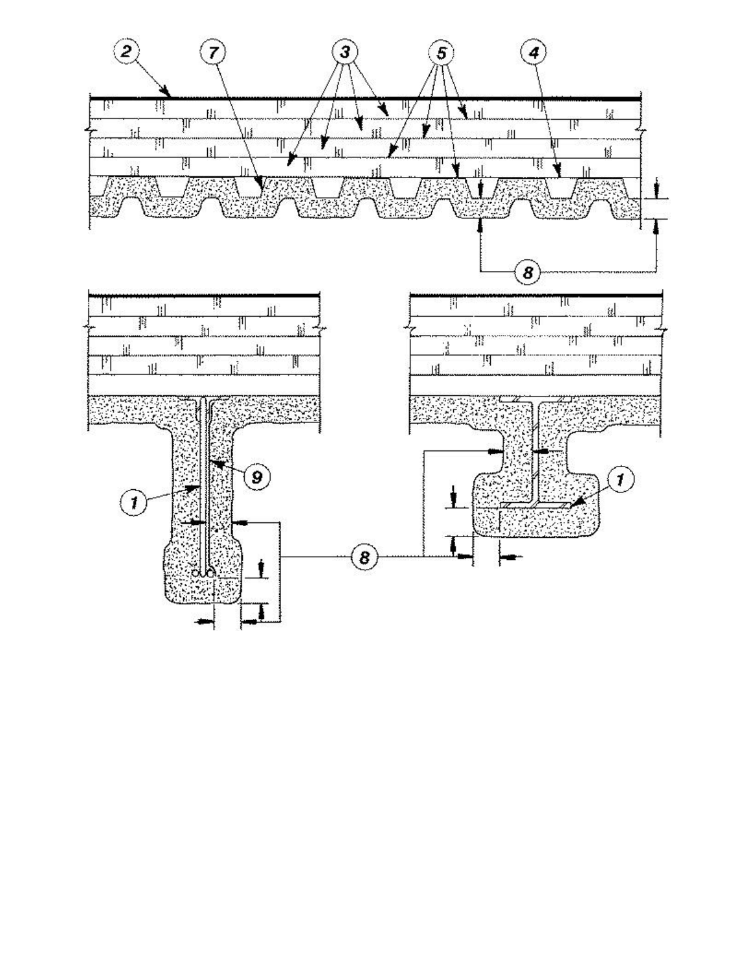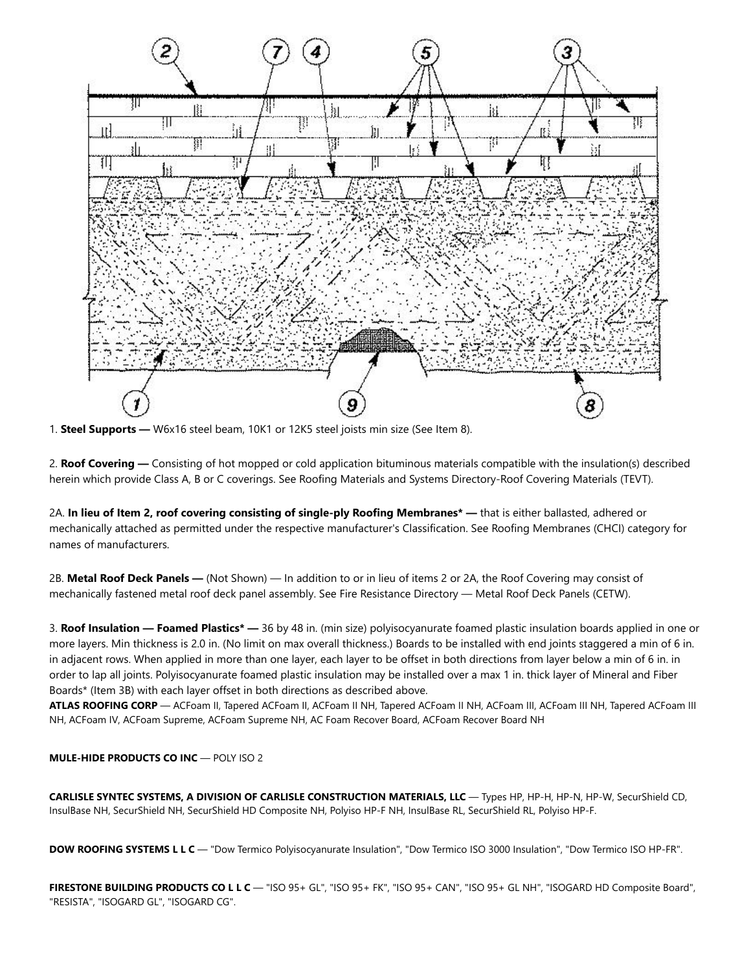

1. **Steel Supports —** W6x16 steel beam, 10K1 or 12K5 steel joists min size (See Item 8).

2. **Roof Covering —** Consisting of hot mopped or cold application bituminous materials compatible with the insulation(s) described herein which provide Class A, B or C coverings. See Roofing Materials and Systems Directory-Roof Covering Materials (TEVT).

2A. **In lieu of Item 2, roof covering consisting of single-ply Roofing Membranes\* —** that is either ballasted, adhered or mechanically attached as permitted under the respective manufacturer's Classification. See Roofing Membranes (CHCI) category for names of manufacturers.

2B. **Metal Roof Deck Panels —** (Not Shown) — In addition to or in lieu of items 2 or 2A, the Roof Covering may consist of mechanically fastened metal roof deck panel assembly. See Fire Resistance Directory — Metal Roof Deck Panels (CETW).

3. **Roof Insulation — Foamed Plastics\* —** 36 by 48 in. (min size) polyisocyanurate foamed plastic insulation boards applied in one or more layers. Min thickness is 2.0 in. (No limit on max overall thickness.) Boards to be installed with end joints staggered a min of 6 in. in adjacent rows. When applied in more than one layer, each layer to be offset in both directions from layer below a min of 6 in. in order to lap all joints. Polyisocyanurate foamed plastic insulation may be installed over a max 1 in. thick layer of Mineral and Fiber Boards\* (Item 3B) with each layer offset in both directions as described above.

**ATLAS ROOFING CORP** — ACFoam II, Tapered ACFoam II, ACFoam II NH, Tapered ACFoam II NH, ACFoam III, ACFoam III NH, Tapered ACFoam III NH, ACFoam IV, ACFoam Supreme, ACFoam Supreme NH, AC Foam Recover Board, ACFoam Recover Board NH

#### **MULE-HIDE PRODUCTS CO INC** — POLY ISO 2

**CARLISLE SYNTEC SYSTEMS, A DIVISION OF CARLISLE CONSTRUCTION MATERIALS, LLC** — Types HP, HP-H, HP-N, HP-W, SecurShield CD, InsulBase NH, SecurShield NH, SecurShield HD Composite NH, Polyiso HP-F NH, InsulBase RL, SecurShield RL, Polyiso HP-F.

**DOW ROOFING SYSTEMS L L C** — "Dow Termico Polyisocyanurate Insulation", "Dow Termico ISO 3000 Insulation", "Dow Termico ISO HP-FR".

**FIRESTONE BUILDING PRODUCTS CO L L C** — "ISO 95+ GL", "ISO 95+ FK", "ISO 95+ CAN", "ISO 95+ GL NH", "ISOGARD HD Composite Board", "RESISTA", "ISOGARD GL", "ISOGARD CG".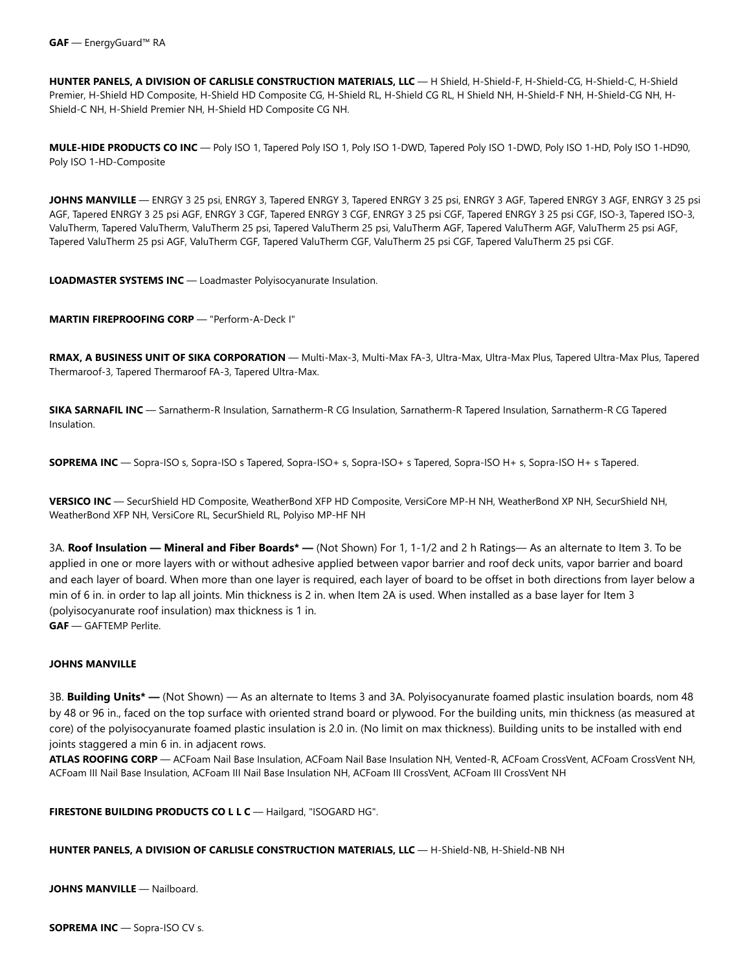**HUNTER PANELS, A DIVISION OF CARLISLE CONSTRUCTION MATERIALS, LLC** — H Shield, H-Shield-F, H-Shield-CG, H-Shield-C, H-Shield Premier, H-Shield HD Composite, H-Shield HD Composite CG, H-Shield RL, H-Shield CG RL, H Shield NH, H-Shield-F NH, H-Shield-CG NH, H-Shield-C NH, H-Shield Premier NH, H-Shield HD Composite CG NH.

**MULE-HIDE PRODUCTS CO INC** — Poly ISO 1, Tapered Poly ISO 1, Poly ISO 1-DWD, Tapered Poly ISO 1-DWD, Poly ISO 1-HD, Poly ISO 1-HD90, Poly ISO 1-HD-Composite

**JOHNS MANVILLE** — ENRGY 3 25 psi, ENRGY 3, Tapered ENRGY 3, Tapered ENRGY 3 25 psi, ENRGY 3 AGF, Tapered ENRGY 3 AGF, ENRGY 3 25 psi AGF, Tapered ENRGY 3 25 psi AGF, ENRGY 3 CGF, Tapered ENRGY 3 CGF, ENRGY 3 25 psi CGF, Tapered ENRGY 3 25 psi CGF, ISO-3, Tapered ISO-3, ValuTherm, Tapered ValuTherm, ValuTherm 25 psi, Tapered ValuTherm 25 psi, ValuTherm AGF, Tapered ValuTherm AGF, ValuTherm 25 psi AGF, Tapered ValuTherm 25 psi AGF, ValuTherm CGF, Tapered ValuTherm CGF, ValuTherm 25 psi CGF, Tapered ValuTherm 25 psi CGF.

**LOADMASTER SYSTEMS INC** — Loadmaster Polyisocyanurate Insulation.

**MARTIN FIREPROOFING CORP** — "Perform-A-Deck I"

**RMAX, A BUSINESS UNIT OF SIKA CORPORATION** — Multi-Max-3, Multi-Max FA-3, Ultra-Max, Ultra-Max Plus, Tapered Ultra-Max Plus, Tapered Thermaroof-3, Tapered Thermaroof FA-3, Tapered Ultra-Max.

**SIKA SARNAFIL INC** — Sarnatherm-R Insulation, Sarnatherm-R CG Insulation, Sarnatherm-R Tapered Insulation, Sarnatherm-R CG Tapered Insulation.

**SOPREMA INC** — Sopra-ISO s, Sopra-ISO s Tapered, Sopra-ISO+ s, Sopra-ISO+ s Tapered, Sopra-ISO H+ s, Sopra-ISO H+ s Tapered.

**VERSICO INC** — SecurShield HD Composite, WeatherBond XFP HD Composite, VersiCore MP-H NH, WeatherBond XP NH, SecurShield NH, WeatherBond XFP NH, VersiCore RL, SecurShield RL, Polyiso MP-HF NH

3A. **Roof Insulation — Mineral and Fiber Boards\* —** (Not Shown) For 1, 1-1/2 and 2 h Ratings— As an alternate to Item 3. To be applied in one or more layers with or without adhesive applied between vapor barrier and roof deck units, vapor barrier and board and each layer of board. When more than one layer is required, each layer of board to be offset in both directions from layer below a min of 6 in. in order to lap all joints. Min thickness is 2 in. when Item 2A is used. When installed as a base layer for Item 3 (polyisocyanurate roof insulation) max thickness is 1 in. **GAF** — GAFTEMP Perlite.

**JOHNS MANVILLE**

3B. **Building Units\* —** (Not Shown) — As an alternate to Items 3 and 3A. Polyisocyanurate foamed plastic insulation boards, nom 48 by 48 or 96 in., faced on the top surface with oriented strand board or plywood. For the building units, min thickness (as measured at core) of the polyisocyanurate foamed plastic insulation is 2.0 in. (No limit on max thickness). Building units to be installed with end joints staggered a min 6 in. in adjacent rows.

**ATLAS ROOFING CORP** — ACFoam Nail Base Insulation, ACFoam Nail Base Insulation NH, Vented-R, ACFoam CrossVent, ACFoam CrossVent NH, ACFoam III Nail Base Insulation, ACFoam III Nail Base Insulation NH, ACFoam III CrossVent, ACFoam III CrossVent NH

**FIRESTONE BUILDING PRODUCTS CO L L C** — Hailgard, "ISOGARD HG".

**HUNTER PANELS, A DIVISION OF CARLISLE CONSTRUCTION MATERIALS, LLC** — H-Shield-NB, H-Shield-NB NH

**JOHNS MANVILLE** — Nailboard.

**SOPREMA INC** — Sopra-ISO CV s.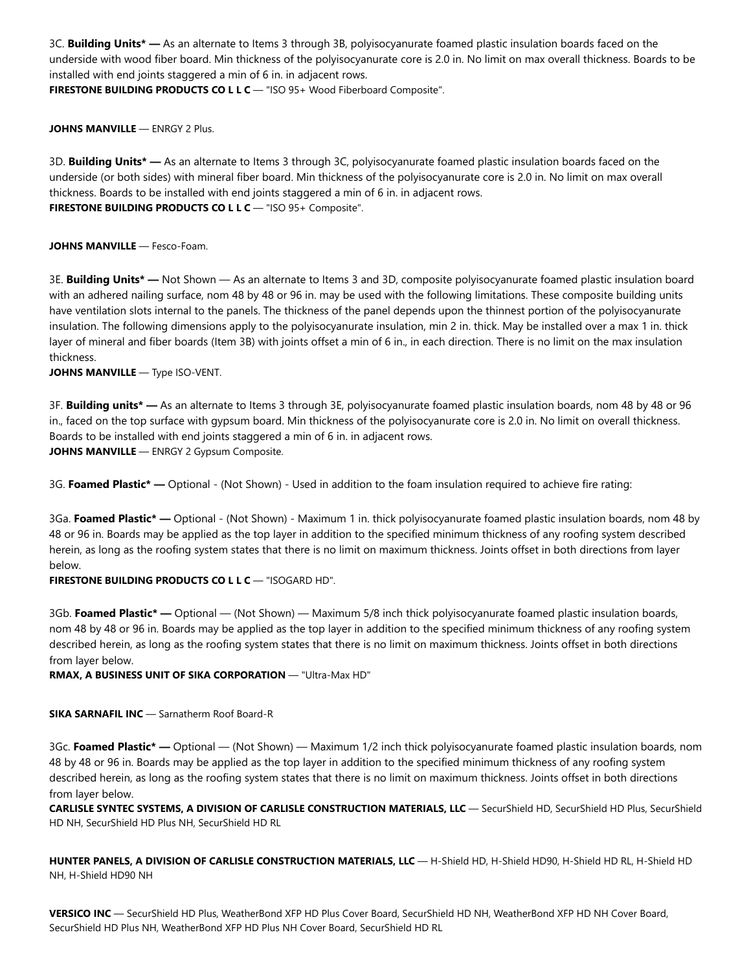3C. **Building Units\* —** As an alternate to Items 3 through 3B, polyisocyanurate foamed plastic insulation boards faced on the underside with wood fiber board. Min thickness of the polyisocyanurate core is 2.0 in. No limit on max overall thickness. Boards to be installed with end joints staggered a min of 6 in. in adjacent rows.

**FIRESTONE BUILDING PRODUCTS CO L L C** — "ISO 95+ Wood Fiberboard Composite".

#### **JOHNS MANVILLE** — ENRGY 2 Plus.

3D. **Building Units\* —** As an alternate to Items 3 through 3C, polyisocyanurate foamed plastic insulation boards faced on the underside (or both sides) with mineral fiber board. Min thickness of the polyisocyanurate core is 2.0 in. No limit on max overall thickness. Boards to be installed with end joints staggered a min of 6 in. in adjacent rows. **FIRESTONE BUILDING PRODUCTS CO L L C** — "ISO 95+ Composite".

#### **JOHNS MANVILLE** — Fesco-Foam.

3E. **Building Units\* —** Not Shown — As an alternate to Items 3 and 3D, composite polyisocyanurate foamed plastic insulation board with an adhered nailing surface, nom 48 by 48 or 96 in. may be used with the following limitations. These composite building units have ventilation slots internal to the panels. The thickness of the panel depends upon the thinnest portion of the polyisocyanurate insulation. The following dimensions apply to the polyisocyanurate insulation, min 2 in. thick. May be installed over a max 1 in. thick layer of mineral and fiber boards (Item 3B) with joints offset a min of 6 in., in each direction. There is no limit on the max insulation thickness.

**JOHNS MANVILLE** — Type ISO-VENT.

3F. **Building units\* —** As an alternate to Items 3 through 3E, polyisocyanurate foamed plastic insulation boards, nom 48 by 48 or 96 in., faced on the top surface with gypsum board. Min thickness of the polyisocyanurate core is 2.0 in. No limit on overall thickness. Boards to be installed with end joints staggered a min of 6 in. in adjacent rows. **JOHNS MANVILLE** — ENRGY 2 Gypsum Composite.

3G. **Foamed Plastic\* —** Optional - (Not Shown) - Used in addition to the foam insulation required to achieve fire rating:

3Ga. **Foamed Plastic\* —** Optional - (Not Shown) - Maximum 1 in. thick polyisocyanurate foamed plastic insulation boards, nom 48 by 48 or 96 in. Boards may be applied as the top layer in addition to the specified minimum thickness of any roofing system described herein, as long as the roofing system states that there is no limit on maximum thickness. Joints offset in both directions from layer below.

**FIRESTONE BUILDING PRODUCTS CO L L C** — "ISOGARD HD".

3Gb. **Foamed Plastic\* —** Optional — (Not Shown) — Maximum 5/8 inch thick polyisocyanurate foamed plastic insulation boards, nom 48 by 48 or 96 in. Boards may be applied as the top layer in addition to the specified minimum thickness of any roofing system described herein, as long as the roofing system states that there is no limit on maximum thickness. Joints offset in both directions from layer below.

**RMAX, A BUSINESS UNIT OF SIKA CORPORATION** — "Ultra-Max HD"

**SIKA SARNAFIL INC** — Sarnatherm Roof Board-R

3Gc. **Foamed Plastic\* —** Optional — (Not Shown) — Maximum 1/2 inch thick polyisocyanurate foamed plastic insulation boards, nom 48 by 48 or 96 in. Boards may be applied as the top layer in addition to the specified minimum thickness of any roofing system described herein, as long as the roofing system states that there is no limit on maximum thickness. Joints offset in both directions from layer below.

**CARLISLE SYNTEC SYSTEMS, A DIVISION OF CARLISLE CONSTRUCTION MATERIALS, LLC** — SecurShield HD, SecurShield HD Plus, SecurShield HD NH, SecurShield HD Plus NH, SecurShield HD RL

**HUNTER PANELS, A DIVISION OF CARLISLE CONSTRUCTION MATERIALS, LLC** — H-Shield HD, H-Shield HD90, H-Shield HD RL, H-Shield HD NH, H-Shield HD90 NH

**VERSICO INC** — SecurShield HD Plus, WeatherBond XFP HD Plus Cover Board, SecurShield HD NH, WeatherBond XFP HD NH Cover Board, SecurShield HD Plus NH, WeatherBond XFP HD Plus NH Cover Board, SecurShield HD RL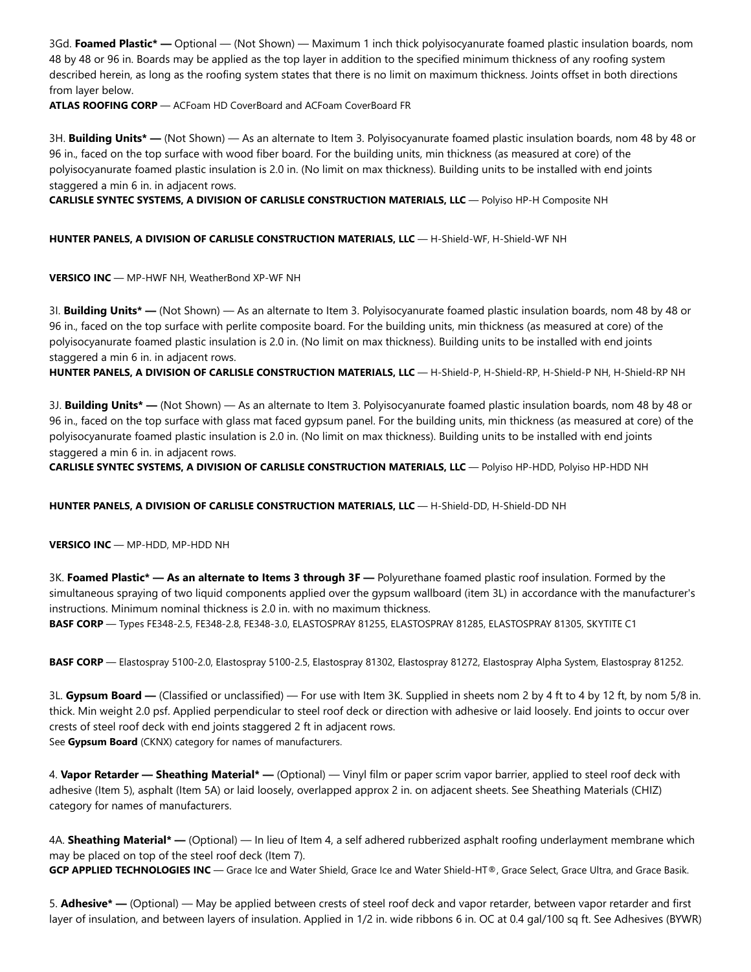3Gd. **Foamed Plastic\* —** Optional — (Not Shown) — Maximum 1 inch thick polyisocyanurate foamed plastic insulation boards, nom 48 by 48 or 96 in. Boards may be applied as the top layer in addition to the specified minimum thickness of any roofing system described herein, as long as the roofing system states that there is no limit on maximum thickness. Joints offset in both directions from layer below.

**ATLAS ROOFING CORP** — ACFoam HD CoverBoard and ACFoam CoverBoard FR

3H. **Building Units\* —** (Not Shown) — As an alternate to Item 3. Polyisocyanurate foamed plastic insulation boards, nom 48 by 48 or 96 in., faced on the top surface with wood fiber board. For the building units, min thickness (as measured at core) of the polyisocyanurate foamed plastic insulation is 2.0 in. (No limit on max thickness). Building units to be installed with end joints staggered a min 6 in. in adjacent rows.

**CARLISLE SYNTEC SYSTEMS, A DIVISION OF CARLISLE CONSTRUCTION MATERIALS, LLC** — Polyiso HP-H Composite NH

#### **HUNTER PANELS, A DIVISION OF CARLISLE CONSTRUCTION MATERIALS, LLC** — H-Shield-WF, H-Shield-WF NH

**VERSICO INC** — MP-HWF NH, WeatherBond XP-WF NH

3I. **Building Units\* —** (Not Shown) — As an alternate to Item 3. Polyisocyanurate foamed plastic insulation boards, nom 48 by 48 or 96 in., faced on the top surface with perlite composite board. For the building units, min thickness (as measured at core) of the polyisocyanurate foamed plastic insulation is 2.0 in. (No limit on max thickness). Building units to be installed with end joints staggered a min 6 in. in adjacent rows.

**HUNTER PANELS, A DIVISION OF CARLISLE CONSTRUCTION MATERIALS, LLC** — H-Shield-P, H-Shield-RP, H-Shield-P NH, H-Shield-RP NH

3J. **Building Units\* —** (Not Shown) — As an alternate to Item 3. Polyisocyanurate foamed plastic insulation boards, nom 48 by 48 or 96 in., faced on the top surface with glass mat faced gypsum panel. For the building units, min thickness (as measured at core) of the polyisocyanurate foamed plastic insulation is 2.0 in. (No limit on max thickness). Building units to be installed with end joints staggered a min 6 in. in adjacent rows.

**CARLISLE SYNTEC SYSTEMS, A DIVISION OF CARLISLE CONSTRUCTION MATERIALS, LLC** — Polyiso HP-HDD, Polyiso HP-HDD NH

**HUNTER PANELS, A DIVISION OF CARLISLE CONSTRUCTION MATERIALS, LLC** — H-Shield-DD, H-Shield-DD NH

**VERSICO INC** — MP-HDD, MP-HDD NH

3K. **Foamed Plastic\* — As an alternate to Items 3 through 3F —** Polyurethane foamed plastic roof insulation. Formed by the simultaneous spraying of two liquid components applied over the gypsum wallboard (item 3L) in accordance with the manufacturer's instructions. Minimum nominal thickness is 2.0 in. with no maximum thickness. **BASF CORP** — Types FE348-2.5, FE348-2.8, FE348-3.0, ELASTOSPRAY 81255, ELASTOSPRAY 81285, ELASTOSPRAY 81305, SKYTITE C1

**BASF CORP** — Elastospray 5100-2.0, Elastospray 5100-2.5, Elastospray 81302, Elastospray 81272, Elastospray Alpha System, Elastospray 81252.

3L. **Gypsum Board —** (Classified or unclassified) — For use with Item 3K. Supplied in sheets nom 2 by 4 ft to 4 by 12 ft, by nom 5/8 in. thick. Min weight 2.0 psf. Applied perpendicular to steel roof deck or direction with adhesive or laid loosely. End joints to occur over crests of steel roof deck with end joints staggered 2 ft in adjacent rows. See **Gypsum Board** (CKNX) category for names of manufacturers.

4. **Vapor Retarder — Sheathing Material\* —** (Optional) — Vinyl film or paper scrim vapor barrier, applied to steel roof deck with adhesive (Item 5), asphalt (Item 5A) or laid loosely, overlapped approx 2 in. on adjacent sheets. See Sheathing Materials (CHIZ) category for names of manufacturers.

4A. **Sheathing Material\* —** (Optional) — In lieu of Item 4, a self adhered rubberized asphalt roofing underlayment membrane which may be placed on top of the steel roof deck (Item 7).

**GCP APPLIED TECHNOLOGIES INC** — Grace Ice and Water Shield, Grace Ice and Water Shield-HT®, Grace Select, Grace Ultra, and Grace Basik.

5. **Adhesive\* —** (Optional) — May be applied between crests of steel roof deck and vapor retarder, between vapor retarder and first layer of insulation, and between layers of insulation. Applied in 1/2 in. wide ribbons 6 in. OC at 0.4 gal/100 sq ft. See Adhesives (BYWR)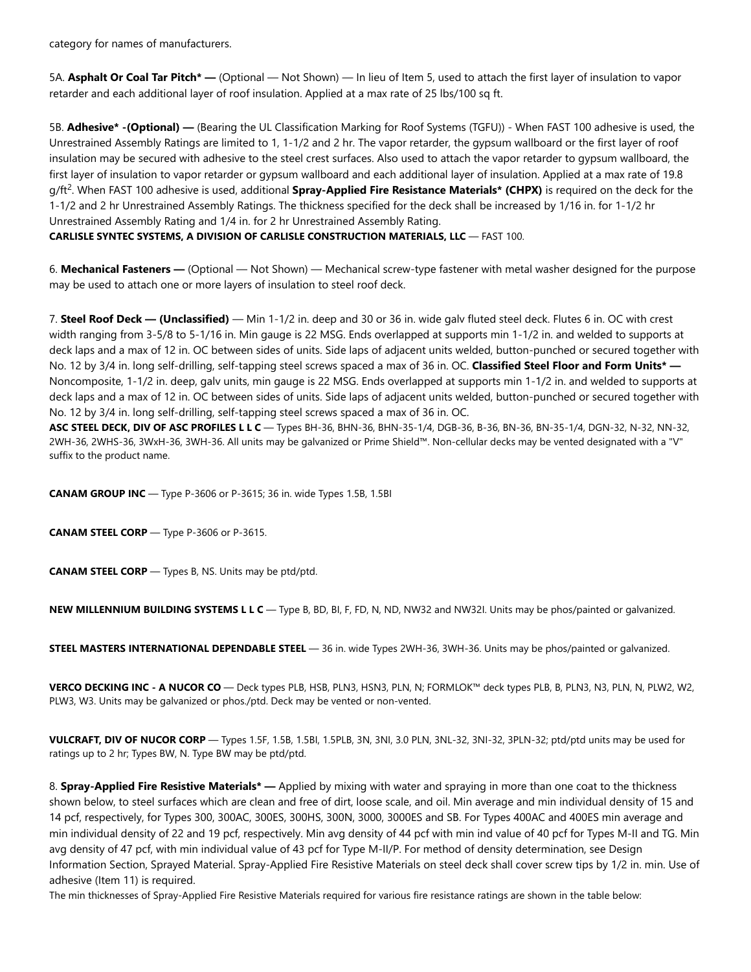category for names of manufacturers.

5A. **Asphalt Or Coal Tar Pitch\* —** (Optional — Not Shown) — In lieu of Item 5, used to attach the first layer of insulation to vapor retarder and each additional layer of roof insulation. Applied at a max rate of 25 lbs/100 sq ft.

5B. **Adhesive\* -(Optional) —** (Bearing the UL Classification Marking for Roof Systems (TGFU)) - When FAST 100 adhesive is used, the Unrestrained Assembly Ratings are limited to 1, 1-1/2 and 2 hr. The vapor retarder, the gypsum wallboard or the first layer of roof insulation may be secured with adhesive to the steel crest surfaces. Also used to attach the vapor retarder to gypsum wallboard, the first layer of insulation to vapor retarder or gypsum wallboard and each additional layer of insulation. Applied at a max rate of 19.8 g/ft<sup>2</sup>. When FAST 100 adhesive is used, additional **Spray-Applied Fire Resistance Materials\* (CHPX)** is required on the deck for the 1-1/2 and 2 hr Unrestrained Assembly Ratings. The thickness specified for the deck shall be increased by 1/16 in. for 1-1/2 hr Unrestrained Assembly Rating and 1/4 in. for 2 hr Unrestrained Assembly Rating.

**CARLISLE SYNTEC SYSTEMS, A DIVISION OF CARLISLE CONSTRUCTION MATERIALS, LLC** — FAST 100.

6. **Mechanical Fasteners —** (Optional — Not Shown) — Mechanical screw-type fastener with metal washer designed for the purpose may be used to attach one or more layers of insulation to steel roof deck.

7. **Steel Roof Deck — (Unclassified)** — Min 1-1/2 in. deep and 30 or 36 in. wide galv fluted steel deck. Flutes 6 in. OC with crest width ranging from 3-5/8 to 5-1/16 in. Min gauge is 22 MSG. Ends overlapped at supports min 1-1/2 in. and welded to supports at deck laps and a max of 12 in. OC between sides of units. Side laps of adjacent units welded, button-punched or secured together with No. 12 by 3/4 in. long self-drilling, self-tapping steel screws spaced a max of 36 in. OC. **Classified Steel Floor and Form Units\* —** Noncomposite, 1-1/2 in. deep, galv units, min gauge is 22 MSG. Ends overlapped at supports min 1-1/2 in. and welded to supports at deck laps and a max of 12 in. OC between sides of units. Side laps of adjacent units welded, button-punched or secured together with No. 12 by 3/4 in. long self-drilling, self-tapping steel screws spaced a max of 36 in. OC.

**ASC STEEL DECK, DIV OF ASC PROFILES L L C** — Types BH-36, BHN-36, BHN-35-1/4, DGB-36, B-36, BN-36, BN-35-1/4, DGN-32, N-32, NN-32, 2WH-36, 2WHS-36, 3WxH-36, 3WH-36. All units may be galvanized or Prime Shield™. Non-cellular decks may be vented designated with a "V" suffix to the product name.

**CANAM GROUP INC** — Type P-3606 or P-3615; 36 in. wide Types 1.5B, 1.5BI

**CANAM STEEL CORP** — Type P-3606 or P-3615.

**CANAM STEEL CORP** — Types B, NS. Units may be ptd/ptd.

**NEW MILLENNIUM BUILDING SYSTEMS L L C** — Type B, BD, BI, F, FD, N, ND, NW32 and NW32I. Units may be phos/painted or galvanized.

**STEEL MASTERS INTERNATIONAL DEPENDABLE STEEL** — 36 in. wide Types 2WH-36, 3WH-36. Units may be phos/painted or galvanized.

**VERCO DECKING INC - A NUCOR CO** — Deck types PLB, HSB, PLN3, HSN3, PLN, N; FORMLOK™ deck types PLB, B, PLN3, N3, PLN, N, PLW2, W2, PLW3, W3. Units may be galvanized or phos./ptd. Deck may be vented or non-vented.

**VULCRAFT, DIV OF NUCOR CORP** — Types 1.5F, 1.5B, 1.5BI, 1.5PLB, 3N, 3NI, 3.0 PLN, 3NL-32, 3NI-32, 3PLN-32; ptd/ptd units may be used for ratings up to 2 hr; Types BW, N. Type BW may be ptd/ptd.

8. **Spray-Applied Fire Resistive Materials\* —** Applied by mixing with water and spraying in more than one coat to the thickness shown below, to steel surfaces which are clean and free of dirt, loose scale, and oil. Min average and min individual density of 15 and 14 pcf, respectively, for Types 300, 300AC, 300ES, 300HS, 300N, 3000, 3000ES and SB. For Types 400AC and 400ES min average and min individual density of 22 and 19 pcf, respectively. Min avg density of 44 pcf with min ind value of 40 pcf for Types M-II and TG. Min avg density of 47 pcf, with min individual value of 43 pcf for Type M-II/P. For method of density determination, see Design Information Section, Sprayed Material. Spray-Applied Fire Resistive Materials on steel deck shall cover screw tips by 1/2 in. min. Use of adhesive (Item 11) is required.

The min thicknesses of Spray-Applied Fire Resistive Materials required for various fire resistance ratings are shown in the table below: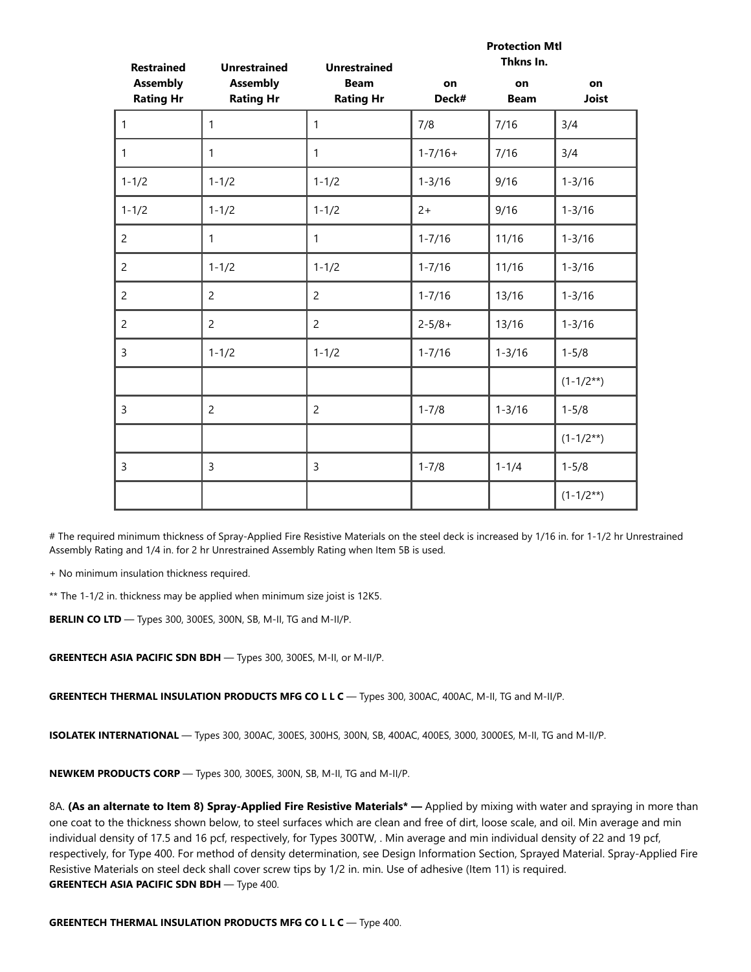| <b>Restrained</b>                   | <b>Unrestrained</b>                 | <b>Unrestrained</b>             | <b>FIULCLUUII IVILI</b> |                   |                    |
|-------------------------------------|-------------------------------------|---------------------------------|-------------------------|-------------------|--------------------|
| <b>Assembly</b><br><b>Rating Hr</b> | <b>Assembly</b><br><b>Rating Hr</b> | <b>Beam</b><br><b>Rating Hr</b> | on<br>Deck#             | on<br><b>Beam</b> | on<br><b>Joist</b> |
| $\mathbf{1}$                        | 1                                   | 1                               | 7/8                     | 7/16              | 3/4                |
| 1                                   | 1                                   | 1                               | $1 - 7/16 +$            | 7/16              | 3/4                |
| $1 - 1/2$                           | $1 - 1/2$                           | $1 - 1/2$                       | $1 - 3/16$              | 9/16              | $1 - 3/16$         |
| $1 - 1/2$                           | $1 - 1/2$                           | $1 - 1/2$                       | $2+$                    | 9/16              | $1 - 3/16$         |
| $\overline{2}$                      | 1                                   | $\mathbf{1}$                    | $1 - 7/16$              | 11/16             | $1 - 3/16$         |
| $\overline{2}$                      | $1 - 1/2$                           | $1 - 1/2$                       | $1 - 7/16$              | 11/16             | $1 - 3/16$         |
| $\overline{c}$                      | $\overline{c}$                      | $\overline{c}$                  | $1 - 7/16$              | 13/16             | $1 - 3/16$         |
| $\overline{2}$                      | $\overline{c}$                      | $\overline{c}$                  | $2 - 5/8 +$             | 13/16             | $1 - 3/16$         |
| 3                                   | $1 - 1/2$                           | $1 - 1/2$                       | $1 - 7/16$              | $1 - 3/16$        | $1 - 5/8$          |
|                                     |                                     |                                 |                         |                   | $(1-1/2**)$        |
| 3                                   | $\overline{c}$                      | $\overline{c}$                  | $1 - 7/8$               | $1 - 3/16$        | $1 - 5/8$          |
|                                     |                                     |                                 |                         |                   | $(1-1/2**)$        |
| 3                                   | 3                                   | 3                               | $1 - 7/8$               | $1 - 1/4$         | $1 - 5/8$          |
|                                     |                                     |                                 |                         |                   | $(1-1/2**)$        |

**Protection Mtl**

# The required minimum thickness of Spray-Applied Fire Resistive Materials on the steel deck is increased by 1/16 in. for 1-1/2 hr Unrestrained Assembly Rating and 1/4 in. for 2 hr Unrestrained Assembly Rating when Item 5B is used.

+ No minimum insulation thickness required.

\*\* The 1-1/2 in. thickness may be applied when minimum size joist is 12K5.

**BERLIN CO LTD** — Types 300, 300ES, 300N, SB, M-II, TG and M-II/P.

**GREENTECH ASIA PACIFIC SDN BDH** — Types 300, 300ES, M-II, or M-II/P.

**GREENTECH THERMAL INSULATION PRODUCTS MFG CO L L C** — Types 300, 300AC, 400AC, M-II, TG and M-II/P.

**ISOLATEK INTERNATIONAL** — Types 300, 300AC, 300ES, 300HS, 300N, SB, 400AC, 400ES, 3000, 3000ES, M-II, TG and M-II/P.

**NEWKEM PRODUCTS CORP** — Types 300, 300ES, 300N, SB, M-II, TG and M-II/P.

8A. **(As an alternate to Item 8) Spray-Applied Fire Resistive Materials\* —** Applied by mixing with water and spraying in more than one coat to the thickness shown below, to steel surfaces which are clean and free of dirt, loose scale, and oil. Min average and min individual density of 17.5 and 16 pcf, respectively, for Types 300TW, . Min average and min individual density of 22 and 19 pcf, respectively, for Type 400. For method of density determination, see Design Information Section, Sprayed Material. Spray-Applied Fire Resistive Materials on steel deck shall cover screw tips by 1/2 in. min. Use of adhesive (Item 11) is required. **GREENTECH ASIA PACIFIC SDN BDH** — Type 400.

**GREENTECH THERMAL INSULATION PRODUCTS MFG CO L L C** — Type 400.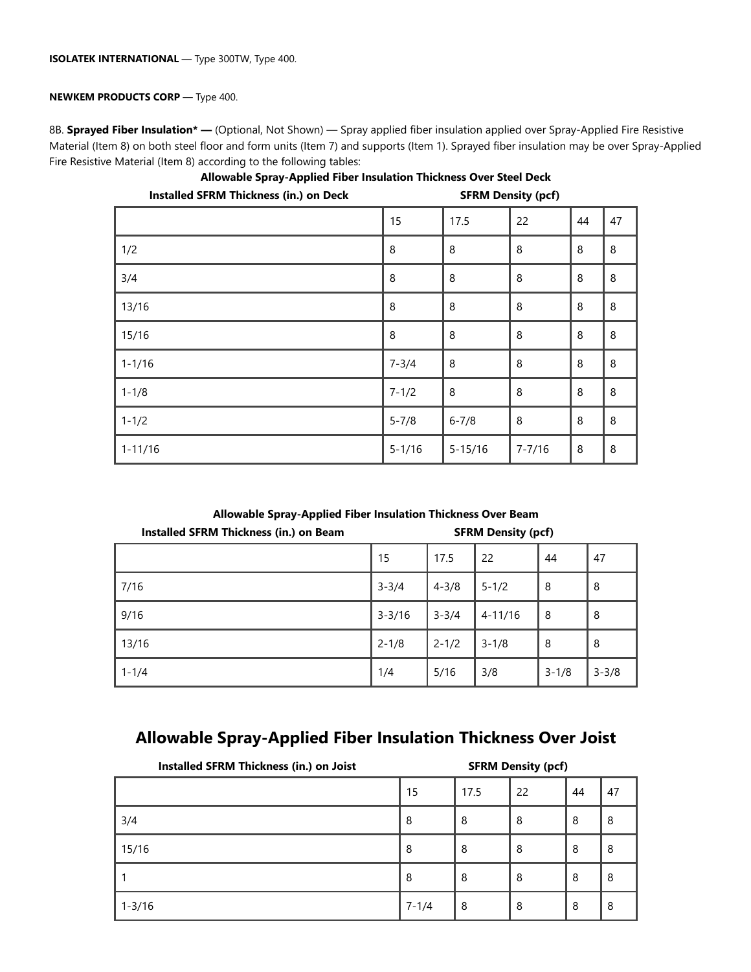#### **NEWKEM PRODUCTS CORP** — Type 400.

8B. **Sprayed Fiber Insulation\* —** (Optional, Not Shown) — Spray applied fiber insulation applied over Spray-Applied Fire Resistive Material (Item 8) on both steel floor and form units (Item 7) and supports (Item 1). Sprayed fiber insulation may be over Spray-Applied Fire Resistive Material (Item 8) according to the following tables:

| Installed SFRM Thickness (in.) on Deck | <b>SFRM Density (pcf)</b> |             |            |    |    |
|----------------------------------------|---------------------------|-------------|------------|----|----|
|                                        | 15                        | 17.5        | 22         | 44 | 47 |
| 1/2                                    | 8                         | 8           | 8          | 8  | 8  |
| 3/4                                    | 8                         | 8           | 8          | 8  | 8  |
| 13/16                                  | 8                         | 8           | 8          | 8  | 8  |
| 15/16                                  | 8                         | 8           | 8          | 8  | 8  |
| $1 - 1/16$                             | $7 - 3/4$                 | 8           | 8          | 8  | 8  |
| $1 - 1/8$                              | $7 - 1/2$                 | 8           | 8          | 8  | 8  |
| $1 - 1/2$                              | $5 - 7/8$                 | $6 - 7/8$   | 8          | 8  | 8  |
| $1 - 11/16$                            | $5 - 1/16$                | $5 - 15/16$ | $7 - 7/16$ | 8  | 8  |

**Allowable Spray-Applied Fiber Insulation Thickness Over Steel Deck**

**Allowable Spray-Applied Fiber Insulation Thickness Over Beam**

| Installed SFRM Thickness (in.) on Beam | <b>SFRM Density (pcf)</b> |           |             |           |           |
|----------------------------------------|---------------------------|-----------|-------------|-----------|-----------|
|                                        | 15                        | 17.5      | 22          | 44        | 47        |
| 7/16                                   | $3 - 3/4$                 | $4 - 3/8$ | $5 - 1/2$   | 8         | 8         |
| 9/16                                   | $3 - 3/16$                | $3 - 3/4$ | $4 - 11/16$ | 8         | 8         |
| 13/16                                  | $2 - 1/8$                 | $2 - 1/2$ | $3 - 1/8$   | 8         | 8         |
| $1 - 1/4$                              | 1/4                       | 5/16      | 3/8         | $3 - 1/8$ | $3 - 3/8$ |

### **Allowable Spray-Applied Fiber Insulation Thickness Over Joist**

| Installed SFRM Thickness (in.) on Joist | <b>SFRM Density (pcf)</b> |      |    |    |    |
|-----------------------------------------|---------------------------|------|----|----|----|
|                                         | 15                        | 17.5 | 22 | 44 | 47 |
| 3/4                                     | 8                         | 8    | 8  | 8  | 8  |
| 15/16                                   | 8                         | 8    | 8  | 8  | 8  |
|                                         | 8                         | 8    | 8  | 8  | 8  |
| $1 - 3/16$                              | $7 - 1/4$                 | 8    | 8  | 8  | 8  |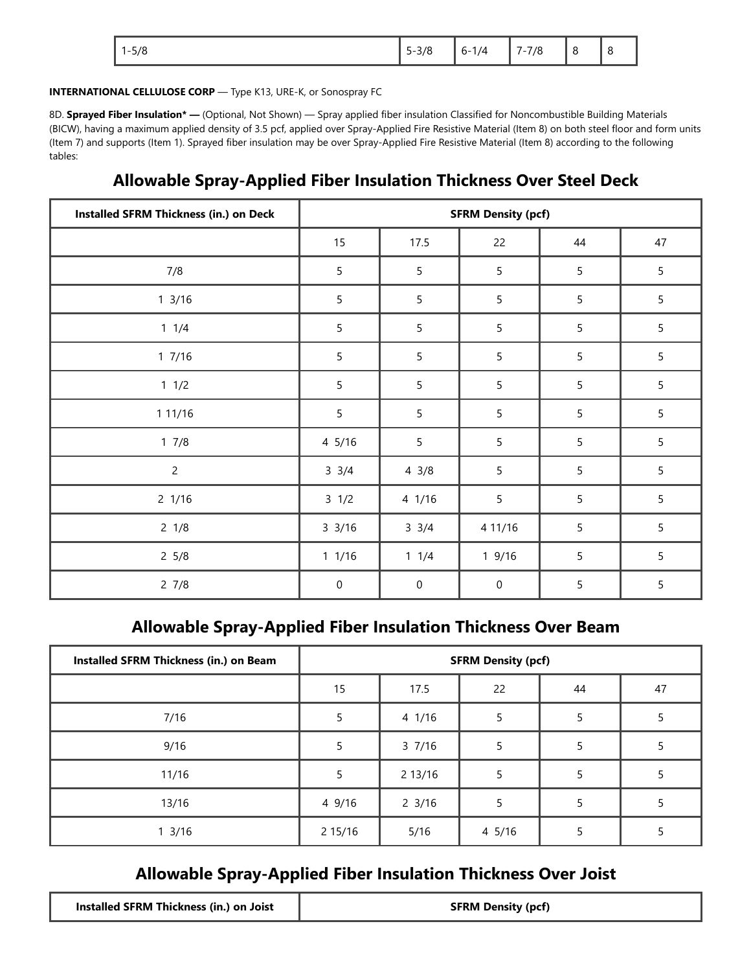| . . |  | . /4<br>h- | 77/0<br>7 C |  |  |
|-----|--|------------|-------------|--|--|
|-----|--|------------|-------------|--|--|

#### **INTERNATIONAL CELLULOSE CORP** — Type K13, URE-K, or Sonospray FC

8D. **Sprayed Fiber Insulation\* —** (Optional, Not Shown) — Spray applied fiber insulation Classified for Noncombustible Building Materials (BICW), having a maximum applied density of 3.5 pcf, applied over Spray-Applied Fire Resistive Material (Item 8) on both steel floor and form units (Item 7) and supports (Item 1). Sprayed fiber insulation may be over Spray-Applied Fire Resistive Material (Item 8) according to the following tables:

## **Allowable Spray-Applied Fiber Insulation Thickness Over Steel Deck**

| Installed SFRM Thickness (in.) on Deck | <b>SFRM Density (pcf)</b> |                  |             |    |    |  |
|----------------------------------------|---------------------------|------------------|-------------|----|----|--|
|                                        | 15                        | 17.5             | 22          | 44 | 47 |  |
| 7/8                                    | 5                         | $\overline{5}$   | 5           | 5  | 5  |  |
| $1 \frac{3}{16}$                       | 5                         | 5                | 5           | 5  | 5  |  |
| $1 \t1/4$                              | 5                         | 5                | 5           | 5  | 5  |  |
| 17/16                                  | 5                         | $\overline{5}$   | 5           | 5  | 5  |  |
| $1 \t1/2$                              | 5                         | 5                | 5           | 5  | 5  |  |
| 1 11/16                                | 5                         | $\overline{5}$   | 5           | 5  | 5  |  |
| $1 \t7/8$                              | 4 5/16                    | $\overline{5}$   | 5           | 5  | 5  |  |
| $\overline{2}$                         | $3 \frac{3}{4}$           | $4 \frac{3}{8}$  | 5           | 5  | 5  |  |
| $2 \frac{1}{16}$                       | $3 \frac{1}{2}$           | 4 1/16           | 5           | 5  | 5  |  |
| $2 \frac{1}{8}$                        | $3 \frac{3}{16}$          | $3 \frac{3}{4}$  | 4 11/16     | 5  | 5  |  |
| $2\frac{5}{8}$                         | 11/16                     | $1 \t1/4$        | 19/16       | 5  | 5  |  |
| $2 \frac{7}{8}$                        | $\boldsymbol{0}$          | $\boldsymbol{0}$ | $\mathbf 0$ | 5  | 5  |  |

### **Allowable Spray-Applied Fiber Insulation Thickness Over Beam**

| Installed SFRM Thickness (in.) on Beam | <b>SFRM Density (pcf)</b> |                  |                 |    |    |  |  |
|----------------------------------------|---------------------------|------------------|-----------------|----|----|--|--|
|                                        | 15                        | 17.5             | 22              | 44 | 47 |  |  |
| 7/16                                   |                           | 4 1/16           |                 |    |    |  |  |
| 9/16                                   |                           | 37/16            |                 |    |    |  |  |
| 11/16                                  |                           | 213/16           |                 |    |    |  |  |
| 13/16                                  | 49/16                     | $2 \frac{3}{16}$ |                 | 5  |    |  |  |
| $1 \frac{3}{16}$                       | 2 15/16                   | 5/16             | $4\frac{5}{16}$ |    |    |  |  |

## **Allowable Spray-Applied Fiber Insulation Thickness Over Joist**

| Installed SFRM Thickness (in.) on Joist | <b>SFRM Density (pcf)</b> |
|-----------------------------------------|---------------------------|
|-----------------------------------------|---------------------------|